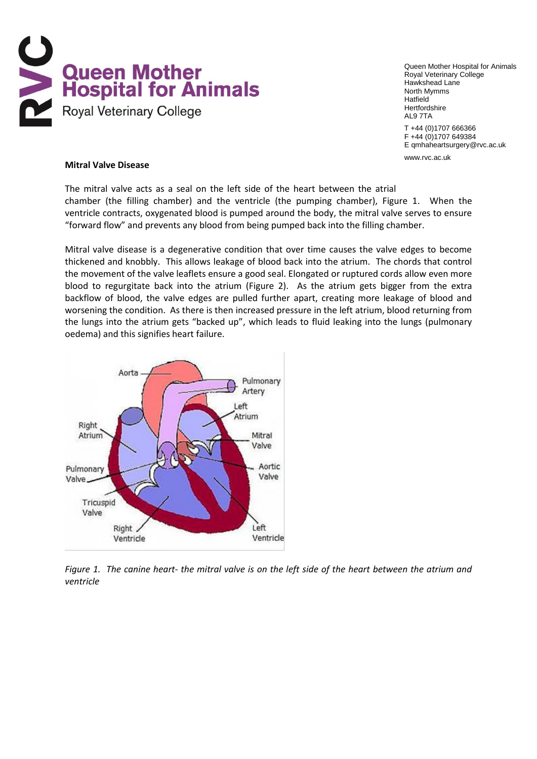

Queen Mother Hospital for Animals Royal Veterinary College Hawkshead Lane North Mymms **Hatfield** Hertfordshire AL9 7TA

T +44 (0)1707 666366 F +44 (0)1707 649384 E qmhaheartsurgery@rvc.ac.uk

www.rvc.ac.uk

#### **Mitral Valve Disease**

The mitral valve acts as a seal on the left side of the heart between the atrial chamber (the filling chamber) and the ventricle (the pumping chamber), Figure 1. When the ventricle contracts, oxygenated blood is pumped around the body, the mitral valve serves to ensure "forward flow" and prevents any blood from being pumped back into the filling chamber.

Mitral valve disease is a degenerative condition that over time causes the valve edges to become thickened and knobbly. This allows leakage of blood back into the atrium. The chords that control the movement of the valve leaflets ensure a good seal. Elongated or ruptured cords allow even more blood to regurgitate back into the atrium (Figure 2). As the atrium gets bigger from the extra backflow of blood, the valve edges are pulled further apart, creating more leakage of blood and worsening the condition. As there is then increased pressure in the left atrium, blood returning from the lungs into the atrium gets "backed up", which leads to fluid leaking into the lungs (pulmonary oedema) and this signifies heart failure.



*Figure 1. The canine heart- the mitral valve is on the left side of the heart between the atrium and ventricle*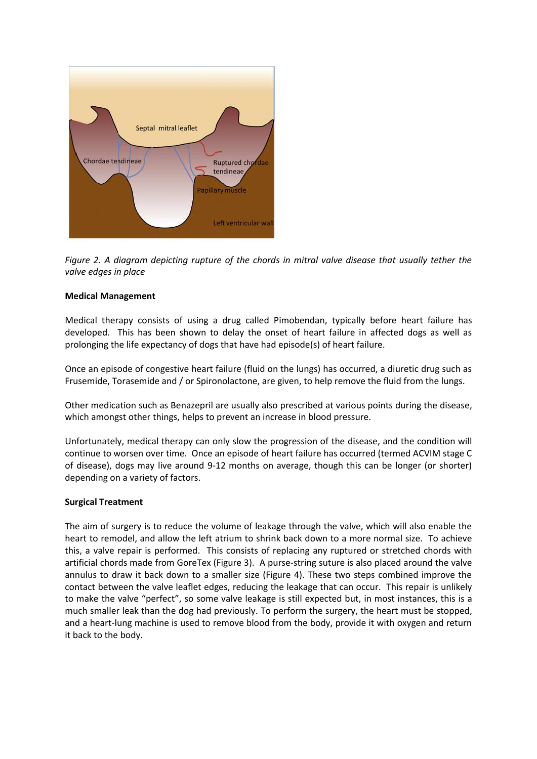

*Figure 2. A diagram depicting rupture of the chords in mitral valve disease that usually tether the valve edges in place* 

## **Medical Management**

Medical therapy consists of using a drug called Pimobendan, typically before heart failure has developed. This has been shown to delay the onset of heart failure in affected dogs as well as prolonging the life expectancy of dogs that have had episode(s) of heart failure.

Once an episode of congestive heart failure (fluid on the lungs) has occurred, a diuretic drug such as Frusemide, Torasemide and / or Spironolactone, are given, to help remove the fluid from the lungs.

Other medication such as Benazepril are usually also prescribed at various points during the disease, which amongst other things, helps to prevent an increase in blood pressure.

Unfortunately, medical therapy can only slow the progression of the disease, and the condition will continue to worsen over time. Once an episode of heart failure has occurred (termed ACVIM stage C of disease), dogs may live around 9-12 months on average, though this can be longer (or shorter) depending on a variety of factors.

#### **Surgical Treatment**

The aim of surgery is to reduce the volume of leakage through the valve, which will also enable the heart to remodel, and allow the left atrium to shrink back down to a more normal size. To achieve this, a valve repair is performed. This consists of replacing any ruptured or stretched chords with artificial chords made from GoreTex (Figure 3). A purse-string suture is also placed around the valve annulus to draw it back down to a smaller size (Figure 4). These two steps combined improve the contact between the valve leaflet edges, reducing the leakage that can occur. This repair is unlikely to make the valve "perfect", so some valve leakage is still expected but, in most instances, this is a much smaller leak than the dog had previously. To perform the surgery, the heart must be stopped, and a heart-lung machine is used to remove blood from the body, provide it with oxygen and return it back to the body.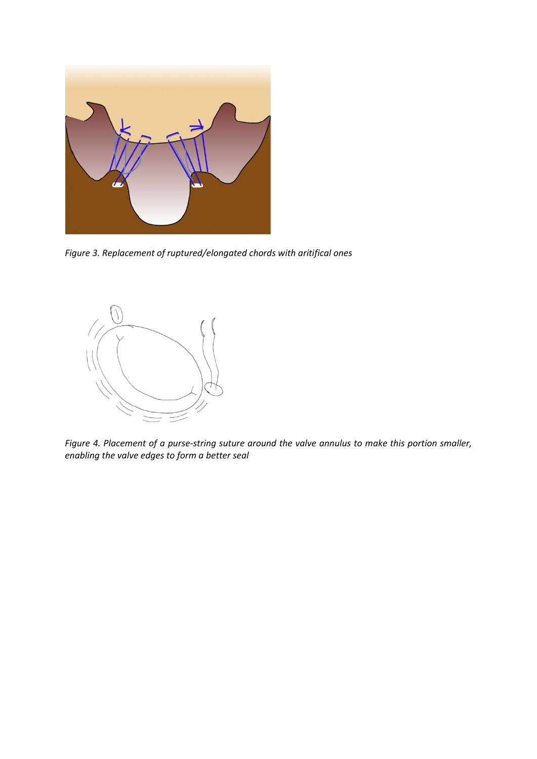

*Figure 3. Replacement of ruptured/elongated chords with aritifical ones*



*Figure 4. Placement of a purse-string suture around the valve annulus to make this portion smaller, enabling the valve edges to form a better seal*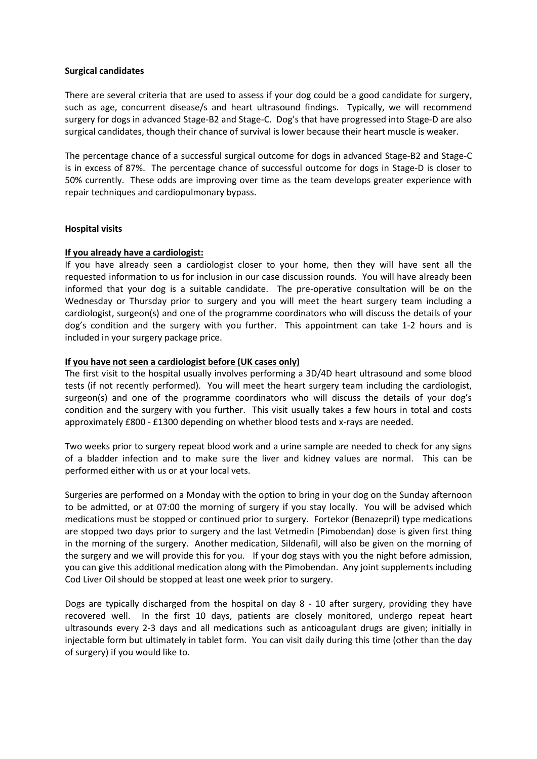## **Surgical candidates**

There are several criteria that are used to assess if your dog could be a good candidate for surgery, such as age, concurrent disease/s and heart ultrasound findings. Typically, we will recommend surgery for dogs in advanced Stage-B2 and Stage-C. Dog's that have progressed into Stage-D are also surgical candidates, though their chance of survival is lower because their heart muscle is weaker.

The percentage chance of a successful surgical outcome for dogs in advanced Stage-B2 and Stage-C is in excess of 87%. The percentage chance of successful outcome for dogs in Stage-D is closer to 50% currently. These odds are improving over time as the team develops greater experience with repair techniques and cardiopulmonary bypass.

# **Hospital visits**

# **If you already have a cardiologist:**

If you have already seen a cardiologist closer to your home, then they will have sent all the requested information to us for inclusion in our case discussion rounds. You will have already been informed that your dog is a suitable candidate. The pre-operative consultation will be on the Wednesday or Thursday prior to surgery and you will meet the heart surgery team including a cardiologist, surgeon(s) and one of the programme coordinators who will discuss the details of your dog's condition and the surgery with you further. This appointment can take 1-2 hours and is included in your surgery package price.

# **If you have not seen a cardiologist before (UK cases only)**

The first visit to the hospital usually involves performing a 3D/4D heart ultrasound and some blood tests (if not recently performed). You will meet the heart surgery team including the cardiologist, surgeon(s) and one of the programme coordinators who will discuss the details of your dog's condition and the surgery with you further. This visit usually takes a few hours in total and costs approximately £800 - £1300 depending on whether blood tests and x-rays are needed.

Two weeks prior to surgery repeat blood work and a urine sample are needed to check for any signs of a bladder infection and to make sure the liver and kidney values are normal. This can be performed either with us or at your local vets.

Surgeries are performed on a Monday with the option to bring in your dog on the Sunday afternoon to be admitted, or at 07:00 the morning of surgery if you stay locally. You will be advised which medications must be stopped or continued prior to surgery. Fortekor (Benazepril) type medications are stopped two days prior to surgery and the last Vetmedin (Pimobendan) dose is given first thing in the morning of the surgery. Another medication, Sildenafil, will also be given on the morning of the surgery and we will provide this for you. If your dog stays with you the night before admission, you can give this additional medication along with the Pimobendan. Any joint supplements including Cod Liver Oil should be stopped at least one week prior to surgery.

Dogs are typically discharged from the hospital on day 8 - 10 after surgery, providing they have recovered well. In the first 10 days, patients are closely monitored, undergo repeat heart ultrasounds every 2-3 days and all medications such as anticoagulant drugs are given; initially in injectable form but ultimately in tablet form. You can visit daily during this time (other than the day of surgery) if you would like to.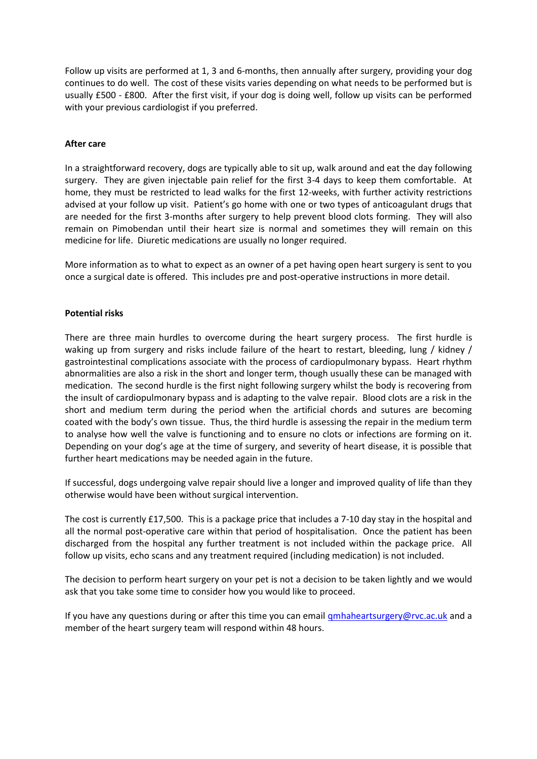Follow up visits are performed at 1, 3 and 6-months, then annually after surgery, providing your dog continues to do well. The cost of these visits varies depending on what needs to be performed but is usually £500 - £800. After the first visit, if your dog is doing well, follow up visits can be performed with your previous cardiologist if you preferred.

# **After care**

In a straightforward recovery, dogs are typically able to sit up, walk around and eat the day following surgery. They are given injectable pain relief for the first 3-4 days to keep them comfortable. At home, they must be restricted to lead walks for the first 12-weeks, with further activity restrictions advised at your follow up visit. Patient's go home with one or two types of anticoagulant drugs that are needed for the first 3-months after surgery to help prevent blood clots forming. They will also remain on Pimobendan until their heart size is normal and sometimes they will remain on this medicine for life. Diuretic medications are usually no longer required.

More information as to what to expect as an owner of a pet having open heart surgery is sent to you once a surgical date is offered. This includes pre and post-operative instructions in more detail.

## **Potential risks**

There are three main hurdles to overcome during the heart surgery process. The first hurdle is waking up from surgery and risks include failure of the heart to restart, bleeding, lung / kidney / gastrointestinal complications associate with the process of cardiopulmonary bypass. Heart rhythm abnormalities are also a risk in the short and longer term, though usually these can be managed with medication. The second hurdle is the first night following surgery whilst the body is recovering from the insult of cardiopulmonary bypass and is adapting to the valve repair. Blood clots are a risk in the short and medium term during the period when the artificial chords and sutures are becoming coated with the body's own tissue. Thus, the third hurdle is assessing the repair in the medium term to analyse how well the valve is functioning and to ensure no clots or infections are forming on it. Depending on your dog's age at the time of surgery, and severity of heart disease, it is possible that further heart medications may be needed again in the future.

If successful, dogs undergoing valve repair should live a longer and improved quality of life than they otherwise would have been without surgical intervention.

The cost is currently £17,500. This is a package price that includes a 7-10 day stay in the hospital and all the normal post-operative care within that period of hospitalisation. Once the patient has been discharged from the hospital any further treatment is not included within the package price. All follow up visits, echo scans and any treatment required (including medication) is not included.

The decision to perform heart surgery on your pet is not a decision to be taken lightly and we would ask that you take some time to consider how you would like to proceed.

If you have any questions during or after this time you can email [qmhaheartsurgery@rvc.ac.uk](mailto:qmhaheartsurgery@rvc.ac.uk) and a member of the heart surgery team will respond within 48 hours.